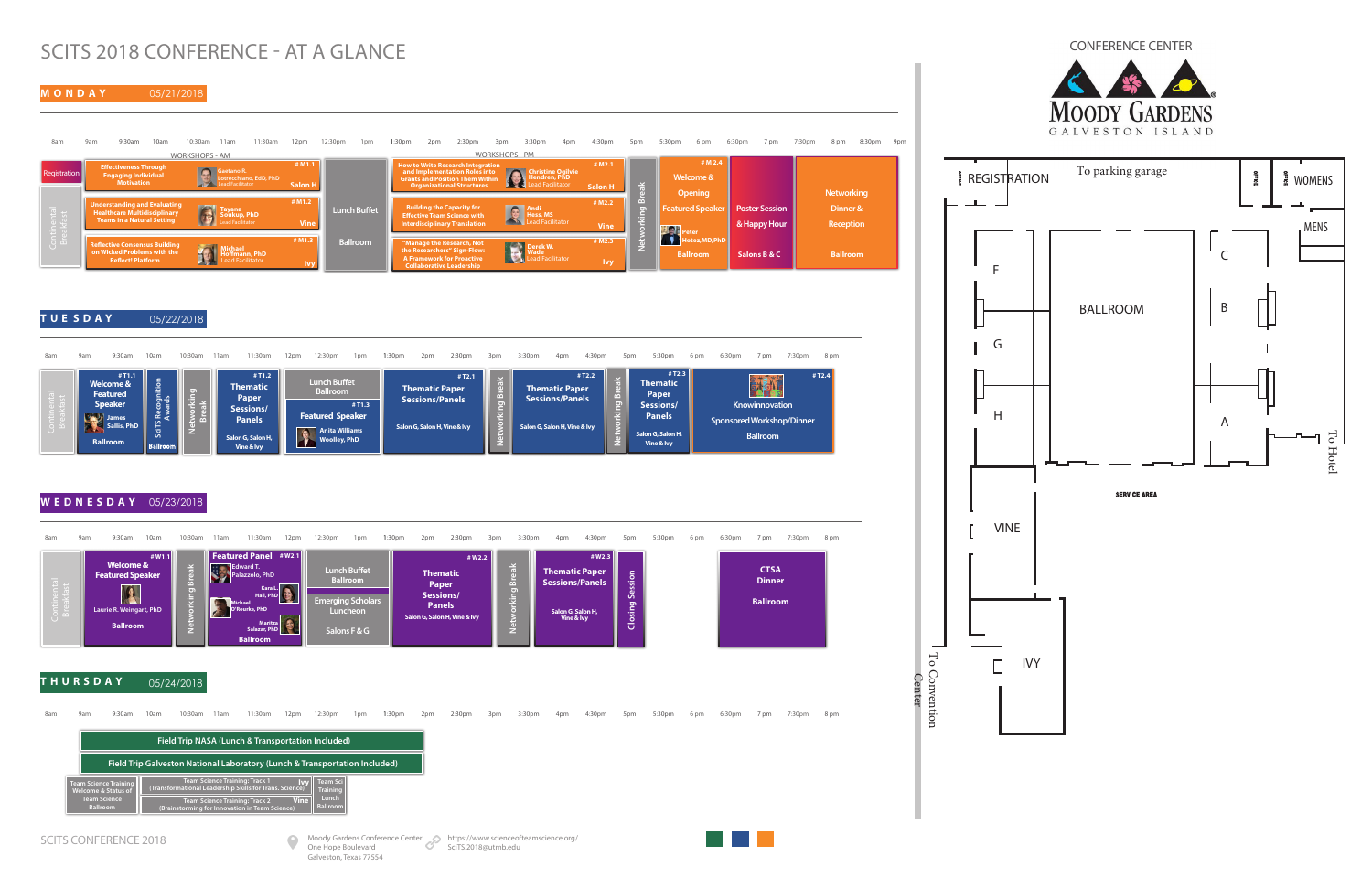To Convention <sup>1</sup> To Convention<br>Center

 $\sim$ 

## SCITS 2018 CONFERENCE - AT A GLANCE

**M O N D A Y** 



**T U E S D A Y** 05/22/2018

## **W E D N E S D A Y** 05/23/2018

### **T H U R S D A Y**  05/24/2018





8am 9am 9:30am 10am 10:30am 11am 11:30am 12pm 12:30pm 1pm 1:30pm 2pm 2:30pm 3pm 3:30pm 4pm 4:30pm 5pm 5:30pm 6 pm 6:30pm 7 pm 7:30pm 8 pm **Knowinnovation Sponsored Workshop/Dinner Ballroom Networking Break Thematic Paper Sessions/ Panels Salon G, Salon H, Vine & Ivy # T2.3 # T2.4 Welcome & Featured Speaker Lunch Buffet Ballroom** # T1. **Networking Break # M2.1 # T1.3 Continental SciTS Recognition SciTS Re**<br>Aw **Networking Break Featured Speaker Anita Williams Woolley, PhD Thematic Paper Sessions/ Panels Salon G, Salon H, Vine & Ivy Thematic Paper Sessions/Panels Salon G, Salon H, Vine & Ivy Thematic Paper Sessions/Panels Salon G, Salon H, Vine & Ivy # T1.2 # T2.1 # T2.2 Ballroom James Sallis, PhD**



| 8am                                                                        | 9am                                                                      | 9:30am                | 10am | 10:30am | 11am | 11:30am                                                                                                                                                                                     | 12pm | 12:30pm                                                     | 1 <sub>pm</sub> | 1:30 <sub>pm</sub> | 2pm | 2:30 <sub>pm</sub> | 3pm | 3:30pm | 4pm | 4:30pm | 5pm | 5:30pm | 6 pm | 6:30pm | 7 pm | 7:30pm | 8 pm |
|----------------------------------------------------------------------------|--------------------------------------------------------------------------|-----------------------|------|---------|------|---------------------------------------------------------------------------------------------------------------------------------------------------------------------------------------------|------|-------------------------------------------------------------|-----------------|--------------------|-----|--------------------|-----|--------|-----|--------|-----|--------|------|--------|------|--------|------|
|                                                                            | Field Trip NASA (Lunch & Transportation Included)                        |                       |      |         |      |                                                                                                                                                                                             |      |                                                             |                 |                    |     |                    |     |        |     |        |     |        |      |        |      |        |      |
| Field Trip Galveston National Laboratory (Lunch & Transportation Included) |                                                                          |                       |      |         |      |                                                                                                                                                                                             |      |                                                             |                 |                    |     |                    |     |        |     |        |     |        |      |        |      |        |      |
|                                                                            | <b>Welcome &amp; Status of</b><br><b>Team Science</b><br><b>Ballroom</b> | Team Science Training |      |         |      | <b>Team Science Training: Track 1</b><br>(Transformational Leadership Skills for Trans. Science)<br><b>Team Science Training: Track 2</b><br>(Brainstorming for Innovation in Team Science) | Vine | <b>Ivy</b> Team Sci<br>Training<br>Lunch<br><b>Ballroom</b> |                 |                    |     |                    |     |        |     |        |     |        |      |        |      |        |      |